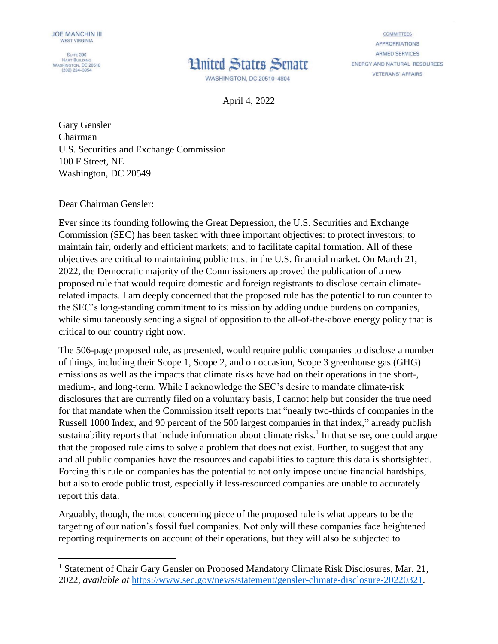**SUITE 306** HART BUILDING<br>WASHINGTON, DC 20510  $(202)$  224-3954



**COMMITTEES APPROPRIATIONS ARMED SERVICES** ENERGY AND NATURAL RESOURCES **VETERANS' AFFAIRS** 

April 4, 2022

Gary Gensler Chairman U.S. Securities and Exchange Commission 100 F Street, NE Washington, DC 20549

Dear Chairman Gensler:

Ever since its founding following the Great Depression, the U.S. Securities and Exchange Commission (SEC) has been tasked with three important objectives: to protect investors; to maintain fair, orderly and efficient markets; and to facilitate capital formation. All of these objectives are critical to maintaining public trust in the U.S. financial market. On March 21, 2022, the Democratic majority of the Commissioners approved the publication of a new proposed rule that would require domestic and foreign registrants to disclose certain climaterelated impacts. I am deeply concerned that the proposed rule has the potential to run counter to the SEC's long-standing commitment to its mission by adding undue burdens on companies, while simultaneously sending a signal of opposition to the all-of-the-above energy policy that is critical to our country right now.

The 506-page proposed rule, as presented, would require public companies to disclose a number of things, including their Scope 1, Scope 2, and on occasion, Scope 3 greenhouse gas (GHG) emissions as well as the impacts that climate risks have had on their operations in the short-, medium-, and long-term. While I acknowledge the SEC's desire to mandate climate-risk disclosures that are currently filed on a voluntary basis, I cannot help but consider the true need for that mandate when the Commission itself reports that "nearly two-thirds of companies in the Russell 1000 Index, and 90 percent of the 500 largest companies in that index," already publish sustainability reports that include information about climate risks.<sup>1</sup> In that sense, one could argue that the proposed rule aims to solve a problem that does not exist. Further, to suggest that any and all public companies have the resources and capabilities to capture this data is shortsighted. Forcing this rule on companies has the potential to not only impose undue financial hardships, but also to erode public trust, especially if less-resourced companies are unable to accurately report this data.

Arguably, though, the most concerning piece of the proposed rule is what appears to be the targeting of our nation's fossil fuel companies. Not only will these companies face heightened reporting requirements on account of their operations, but they will also be subjected to

<sup>&</sup>lt;sup>1</sup> Statement of Chair Gary Gensler on Proposed Mandatory Climate Risk Disclosures, Mar. 21, 2022, *available at* [https://www.sec.gov/news/statement/gensler-climate-disclosure-20220321.](https://www.sec.gov/news/statement/gensler-climate-disclosure-20220321)